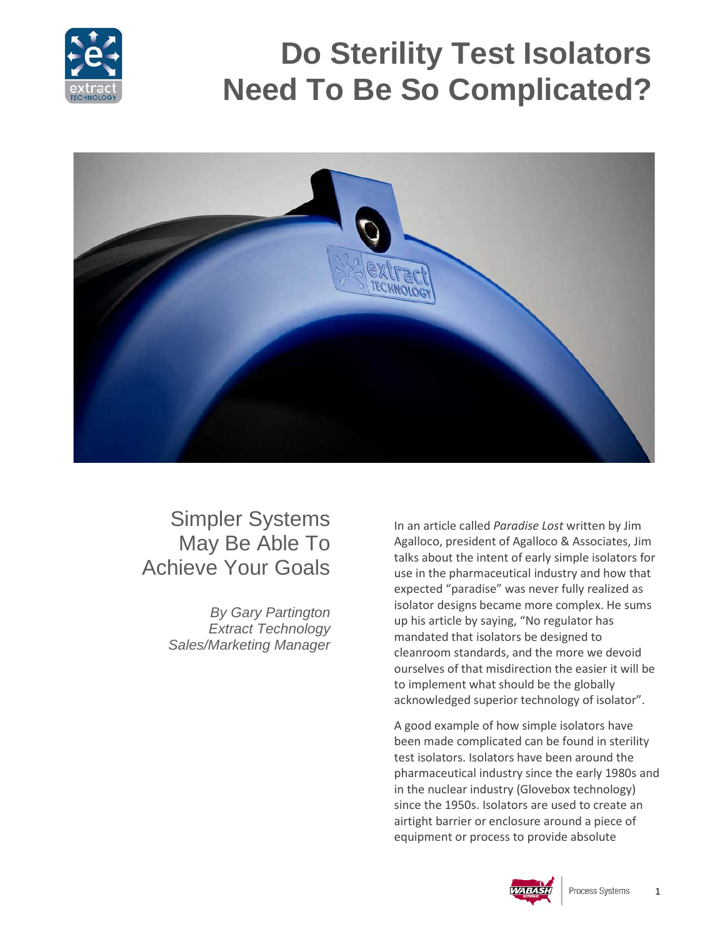

## **Do Sterility Test Isolators Need To Be So Complicated?**



## Simpler Systems May Be Able To Achieve Your Goals

*By Gary Partington Extract Technology Sales/Marketing Manager* In an article called *Paradise Lost* written by Jim Agalloco, president of Agalloco & Associates, Jim talks about the intent of early simple isolators for use in the pharmaceutical industry and how that expected "paradise" was never fully realized as isolator designs became more complex. He sums up his article by saying, "No regulator has mandated that isolators be designed to cleanroom standards, and the more we devoid ourselves of that misdirection the easier it will be to implement what should be the globally acknowledged superior technology of isolator".

A good example of how simple isolators have been made complicated can be found in sterility test isolators. Isolators have been around the pharmaceutical industry since the early 1980s and in the nuclear industry (Glovebox technology) since the 1950s. Isolators are used to create an airtight barrier or enclosure around a piece of equipment or process to provide absolute

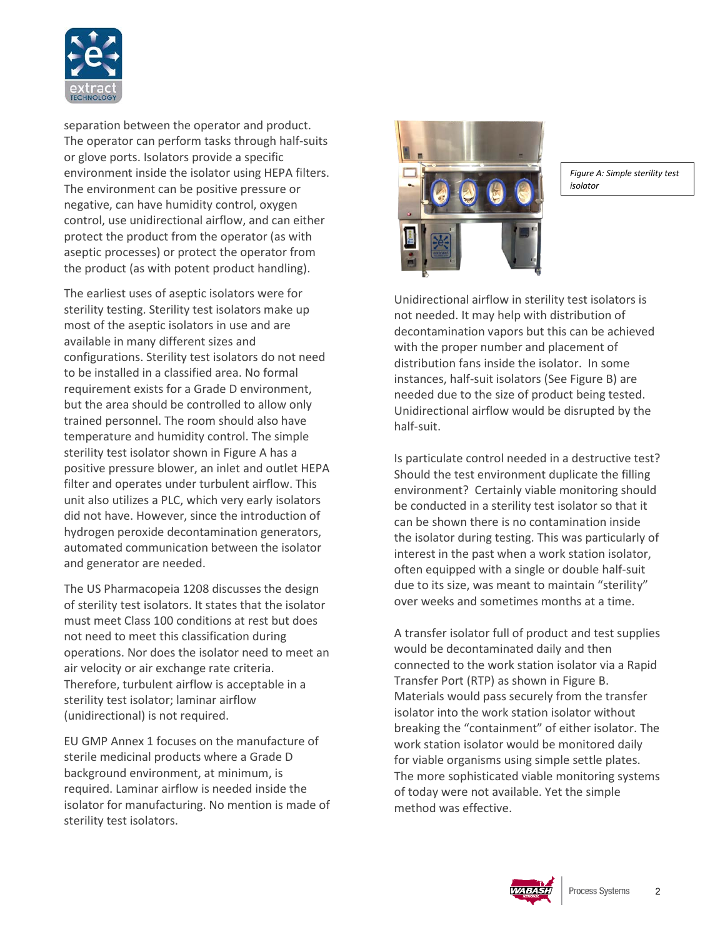

separation between the operator and product. The operator can perform tasks through half-suits or glove ports. Isolators provide a specific environment inside the isolator using HEPA filters. The environment can be positive pressure or negative, can have humidity control, oxygen control, use unidirectional airflow, and can either protect the product from the operator (as with aseptic processes) or protect the operator from the product (as with potent product handling).

The earliest uses of aseptic isolators were for sterility testing. Sterility test isolators make up most of the aseptic isolators in use and are available in many different sizes and configurations. Sterility test isolators do not need to be installed in a classified area. No formal requirement exists for a Grade D environment, but the area should be controlled to allow only trained personnel. The room should also have temperature and humidity control. The simple sterility test isolator shown in Figure A has a positive pressure blower, an inlet and outlet HEPA filter and operates under turbulent airflow. This unit also utilizes a PLC, which very early isolators did not have. However, since the introduction of hydrogen peroxide decontamination generators, automated communication between the isolator and generator are needed.

The US Pharmacopeia 1208 discusses the design of sterility test isolators. It states that the isolator must meet Class 100 conditions at rest but does not need to meet this classification during operations. Nor does the isolator need to meet an air velocity or air exchange rate criteria. Therefore, turbulent airflow is acceptable in a sterility test isolator; laminar airflow (unidirectional) is not required.

EU GMP Annex 1 focuses on the manufacture of sterile medicinal products where a Grade D background environment, at minimum, is required. Laminar airflow is needed inside the isolator for manufacturing. No mention is made of sterility test isolators.



*Figure A: Simple sterility test isolator*

Unidirectional airflow in sterility test isolators is not needed. It may help with distribution of decontamination vapors but this can be achieved with the proper number and placement of distribution fans inside the isolator. In some instances, half-suit isolators (See Figure B) are needed due to the size of product being tested. Unidirectional airflow would be disrupted by the half-suit.

Is particulate control needed in a destructive test? Should the test environment duplicate the filling environment? Certainly viable monitoring should be conducted in a sterility test isolator so that it can be shown there is no contamination inside the isolator during testing. This was particularly of interest in the past when a work station isolator, often equipped with a single or double half-suit due to its size, was meant to maintain "sterility" over weeks and sometimes months at a time.

A transfer isolator full of product and test supplies would be decontaminated daily and then connected to the work station isolator via a Rapid Transfer Port (RTP) as shown in Figure B. Materials would pass securely from the transfer isolator into the work station isolator without breaking the "containment" of either isolator. The work station isolator would be monitored daily for viable organisms using simple settle plates. The more sophisticated viable monitoring systems of today were not available. Yet the simple method was effective.

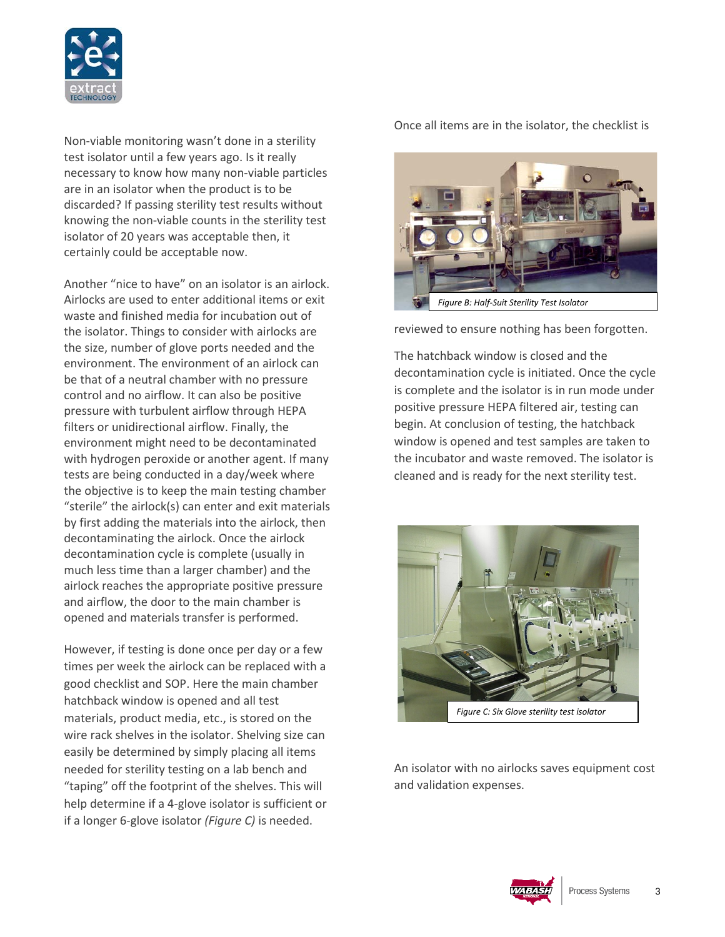

Non-viable monitoring wasn't done in a sterility test isolator until a few years ago. Is it really necessary to know how many non-viable particles are in an isolator when the product is to be discarded? If passing sterility test results without knowing the non-viable counts in the sterility test isolator of 20 years was acceptable then, it certainly could be acceptable now.

Another "nice to have" on an isolator is an airlock. Airlocks are used to enter additional items or exit waste and finished media for incubation out of the isolator. Things to consider with airlocks are the size, number of glove ports needed and the environment. The environment of an airlock can be that of a neutral chamber with no pressure control and no airflow. It can also be positive pressure with turbulent airflow through HEPA filters or unidirectional airflow. Finally, the environment might need to be decontaminated with hydrogen peroxide or another agent. If many tests are being conducted in a day/week where the objective is to keep the main testing chamber "sterile" the airlock(s) can enter and exit materials by first adding the materials into the airlock, then decontaminating the airlock. Once the airlock decontamination cycle is complete (usually in much less time than a larger chamber) and the airlock reaches the appropriate positive pressure and airflow, the door to the main chamber is opened and materials transfer is performed.

However, if testing is done once per day or a few times per week the airlock can be replaced with a good checklist and SOP. Here the main chamber hatchback window is opened and all test materials, product media, etc., is stored on the wire rack shelves in the isolator. Shelving size can easily be determined by simply placing all items needed for sterility testing on a lab bench and "taping" off the footprint of the shelves. This will help determine if a 4-glove isolator is sufficient or if a longer 6-glove isolator *(Figure C)* is needed.

Once all items are in the isolator, the checklist is



reviewed to ensure nothing has been forgotten.

The hatchback window is closed and the decontamination cycle is initiated. Once the cycle is complete and the isolator is in run mode under positive pressure HEPA filtered air, testing can begin. At conclusion of testing, the hatchback window is opened and test samples are taken to the incubator and waste removed. The isolator is cleaned and is ready for the next sterility test.



An isolator with no airlocks saves equipment cost and validation expenses.